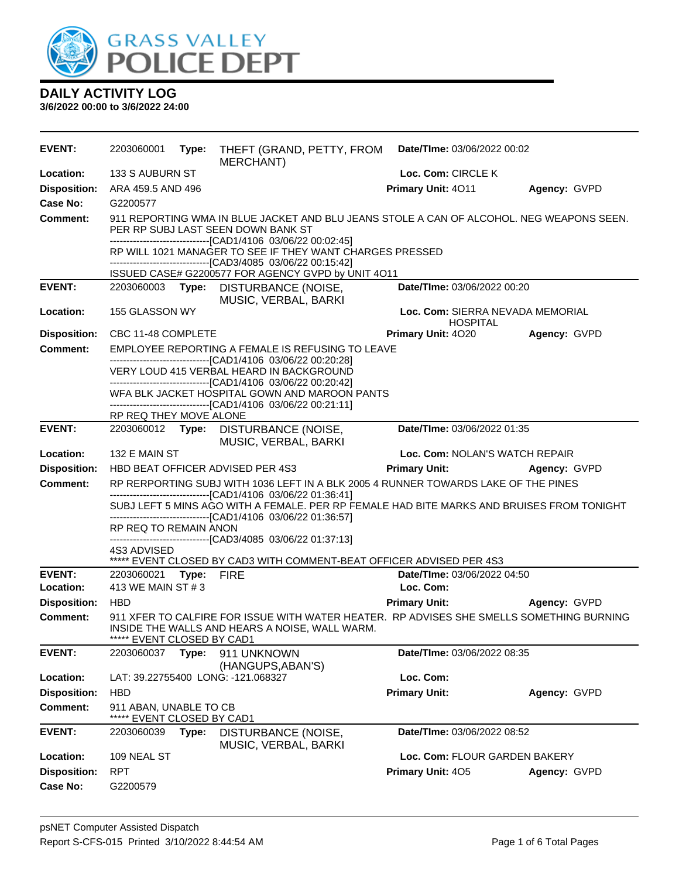

| <b>EVENT:</b>              | 2203060001                                                                                                                                                                                     | Type: | THEFT (GRAND, PETTY, FROM<br>MERCHANT)                                                                                                                    | Date/TIme: 03/06/2022 00:02              |              |  |  |
|----------------------------|------------------------------------------------------------------------------------------------------------------------------------------------------------------------------------------------|-------|-----------------------------------------------------------------------------------------------------------------------------------------------------------|------------------------------------------|--------------|--|--|
| Location:                  | 133 S AUBURN ST                                                                                                                                                                                |       |                                                                                                                                                           | Loc. Com: CIRCLE K                       |              |  |  |
| <b>Disposition:</b>        | ARA 459.5 AND 496                                                                                                                                                                              |       |                                                                                                                                                           | Primary Unit: 4011                       | Agency: GVPD |  |  |
| Case No:                   | G2200577                                                                                                                                                                                       |       |                                                                                                                                                           |                                          |              |  |  |
| Comment:                   | 911 REPORTING WMA IN BLUE JACKET AND BLU JEANS STOLE A CAN OF ALCOHOL. NEG WEAPONS SEEN.<br>PER RP SUBJ LAST SEEN DOWN BANK ST<br>-------------------------------[CAD1/4106 03/06/22 00:02:45] |       |                                                                                                                                                           |                                          |              |  |  |
|                            |                                                                                                                                                                                                |       | RP WILL 1021 MANAGER TO SEE IF THEY WANT CHARGES PRESSED                                                                                                  |                                          |              |  |  |
|                            |                                                                                                                                                                                                |       | -------------------------------[CAD3/4085 03/06/22 00:15:42]<br>ISSUED CASE# G2200577 FOR AGENCY GVPD by UNIT 4O11                                        |                                          |              |  |  |
| <b>EVENT:</b>              |                                                                                                                                                                                                |       | 2203060003 Type: DISTURBANCE (NOISE,                                                                                                                      | Date/TIme: 03/06/2022 00:20              |              |  |  |
|                            |                                                                                                                                                                                                |       | MUSIC, VERBAL, BARKI                                                                                                                                      |                                          |              |  |  |
| Location:                  | 155 GLASSON WY<br>Loc. Com: SIERRA NEVADA MEMORIAL<br><b>HOSPITAL</b>                                                                                                                          |       |                                                                                                                                                           |                                          |              |  |  |
| <b>Disposition:</b>        | CBC 11-48 COMPLETE                                                                                                                                                                             |       |                                                                                                                                                           | Primary Unit: 4020                       | Agency: GVPD |  |  |
| <b>Comment:</b>            |                                                                                                                                                                                                |       | EMPLOYEE REPORTING A FEMALE IS REFUSING TO LEAVE<br>-------------------------------[CAD1/4106 03/06/22 00:20:28]                                          |                                          |              |  |  |
|                            |                                                                                                                                                                                                |       | VERY LOUD 415 VERBAL HEARD IN BACKGROUND                                                                                                                  |                                          |              |  |  |
|                            |                                                                                                                                                                                                |       | ------------------------------[CAD1/4106 03/06/22 00:20:42]                                                                                               |                                          |              |  |  |
|                            |                                                                                                                                                                                                |       | WFA BLK JACKET HOSPITAL GOWN AND MAROON PANTS<br>-------------------------------[CAD1/4106 03/06/22 00:21:11]                                             |                                          |              |  |  |
|                            | RP REQ THEY MOVE ALONE                                                                                                                                                                         |       |                                                                                                                                                           |                                          |              |  |  |
| <b>EVENT:</b>              |                                                                                                                                                                                                |       | 2203060012 Type: DISTURBANCE (NOISE,                                                                                                                      | Date/TIme: 03/06/2022 01:35              |              |  |  |
| Location:                  | 132 E MAIN ST                                                                                                                                                                                  |       | MUSIC, VERBAL, BARKI                                                                                                                                      | Loc. Com: NOLAN'S WATCH REPAIR           |              |  |  |
| <b>Disposition:</b>        |                                                                                                                                                                                                |       | HBD BEAT OFFICER ADVISED PER 4S3                                                                                                                          | <b>Primary Unit:</b>                     | Agency: GVPD |  |  |
| <b>Comment:</b>            |                                                                                                                                                                                                |       | RP RERPORTING SUBJ WITH 1036 LEFT IN A BLK 2005 4 RUNNER TOWARDS LAKE OF THE PINES                                                                        |                                          |              |  |  |
|                            |                                                                                                                                                                                                |       | -------------------------------[CAD1/4106 03/06/22 01:36:41]<br>SUBJ LEFT 5 MINS AGO WITH A FEMALE. PER RP FEMALE HAD BITE MARKS AND BRUISES FROM TONIGHT |                                          |              |  |  |
|                            |                                                                                                                                                                                                |       | -------------------------------[CAD1/4106 03/06/22 01:36:57]                                                                                              |                                          |              |  |  |
|                            | RP REQ TO REMAIN ANON                                                                                                                                                                          |       | -------------------------------[CAD3/4085 03/06/22 01:37:13]                                                                                              |                                          |              |  |  |
|                            | 4S3 ADVISED                                                                                                                                                                                    |       |                                                                                                                                                           |                                          |              |  |  |
|                            |                                                                                                                                                                                                |       | ***** EVENT CLOSED BY CAD3 WITH COMMENT-BEAT OFFICER ADVISED PER 4S3                                                                                      |                                          |              |  |  |
| <b>EVENT:</b><br>Location: | 2203060021 Type: FIRE<br>413 WE MAIN ST # 3                                                                                                                                                    |       |                                                                                                                                                           | Date/TIme: 03/06/2022 04:50<br>Loc. Com: |              |  |  |
| <b>Disposition:</b>        | <b>HBD</b>                                                                                                                                                                                     |       |                                                                                                                                                           | <b>Primary Unit:</b>                     | Agency: GVPD |  |  |
| <b>Comment:</b>            | 911 XFER TO CALFIRE FOR ISSUE WITH WATER HEATER. RP ADVISES SHE SMELLS SOMETHING BURNING                                                                                                       |       |                                                                                                                                                           |                                          |              |  |  |
|                            | INSIDE THE WALLS AND HEARS A NOISE, WALL WARM.<br>***** EVENT CLOSED BY CAD1                                                                                                                   |       |                                                                                                                                                           |                                          |              |  |  |
| <b>EVENT:</b>              | 2203060037                                                                                                                                                                                     | Type: | 911 UNKNOWN<br>(HANGUPS, ABAN'S)                                                                                                                          | Date/TIme: 03/06/2022 08:35              |              |  |  |
| Location:                  |                                                                                                                                                                                                |       | LAT: 39.22755400 LONG: -121.068327                                                                                                                        | Loc. Com:                                |              |  |  |
| <b>Disposition:</b>        | <b>HBD</b>                                                                                                                                                                                     |       |                                                                                                                                                           | <b>Primary Unit:</b>                     | Agency: GVPD |  |  |
| <b>Comment:</b>            | 911 ABAN, UNABLE TO CB<br>EVENT CLOSED BY CAD1                                                                                                                                                 |       |                                                                                                                                                           |                                          |              |  |  |
| <b>EVENT:</b>              | 2203060039                                                                                                                                                                                     | Type: | DISTURBANCE (NOISE,<br>MUSIC, VERBAL, BARKI                                                                                                               | Date/TIme: 03/06/2022 08:52              |              |  |  |
| Location:                  | 109 NEAL ST                                                                                                                                                                                    |       |                                                                                                                                                           | Loc. Com: FLOUR GARDEN BAKERY            |              |  |  |
| <b>Disposition:</b>        | <b>RPT</b>                                                                                                                                                                                     |       |                                                                                                                                                           | Primary Unit: 405                        | Agency: GVPD |  |  |
| <b>Case No:</b>            | G2200579                                                                                                                                                                                       |       |                                                                                                                                                           |                                          |              |  |  |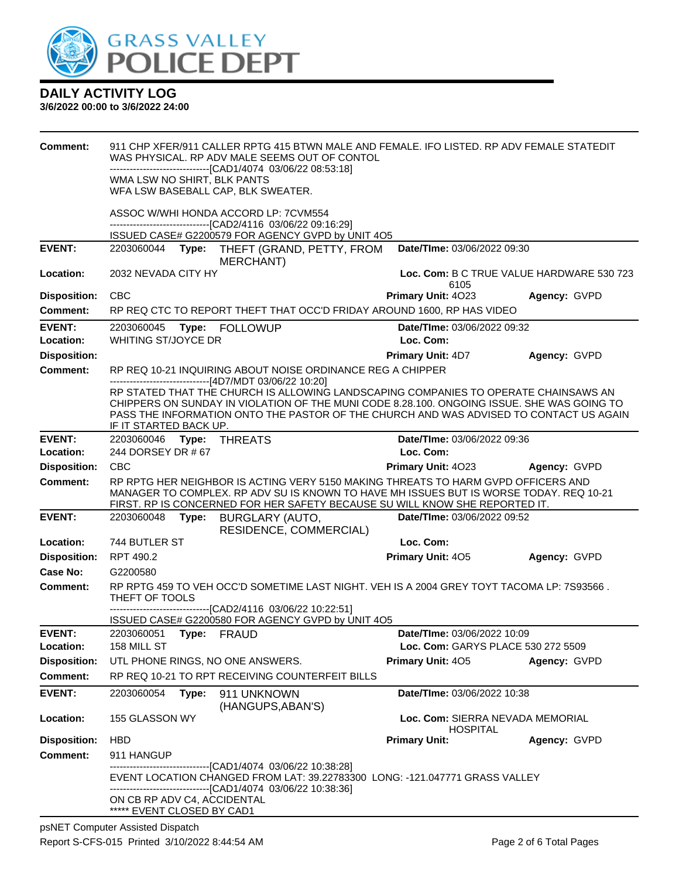

| <b>Comment:</b>            |                                                                                                             |       | 911 CHP XFER/911 CALLER RPTG 415 BTWN MALE AND FEMALE. IFO LISTED, RP ADV FEMALE STATEDIT<br>WAS PHYSICAL. RP ADV MALE SEEMS OUT OF CONTOL<br>-------------------------------[CAD1/4074_03/06/22_08:53:18]                                                                  |                                                     |              |  |
|----------------------------|-------------------------------------------------------------------------------------------------------------|-------|-----------------------------------------------------------------------------------------------------------------------------------------------------------------------------------------------------------------------------------------------------------------------------|-----------------------------------------------------|--------------|--|
|                            | WMA LSW NO SHIRT, BLK PANTS                                                                                 |       | WFA LSW BASEBALL CAP, BLK SWEATER.                                                                                                                                                                                                                                          |                                                     |              |  |
|                            |                                                                                                             |       | ASSOC W/WHI HONDA ACCORD LP: 7CVM554<br>-------------------------------[CAD2/4116 03/06/22 09:16:29]                                                                                                                                                                        |                                                     |              |  |
|                            |                                                                                                             |       | ISSUED CASE# G2200579 FOR AGENCY GVPD by UNIT 4O5                                                                                                                                                                                                                           |                                                     |              |  |
| <b>EVENT:</b>              |                                                                                                             |       | 2203060044 Type: THEFT (GRAND, PETTY, FROM<br><b>MERCHANT</b> )                                                                                                                                                                                                             | Date/TIme: 03/06/2022 09:30                         |              |  |
| Location:                  | 2032 NEVADA CITY HY                                                                                         |       |                                                                                                                                                                                                                                                                             | Loc. Com: B C TRUE VALUE HARDWARE 530 723           |              |  |
| <b>Disposition:</b>        | <b>CBC</b>                                                                                                  |       |                                                                                                                                                                                                                                                                             | 6105<br>Primary Unit: 4023                          | Agency: GVPD |  |
| <b>Comment:</b>            |                                                                                                             |       | RP REQ CTC TO REPORT THEFT THAT OCC'D FRIDAY AROUND 1600, RP HAS VIDEO                                                                                                                                                                                                      |                                                     |              |  |
|                            |                                                                                                             |       |                                                                                                                                                                                                                                                                             |                                                     |              |  |
| <b>EVENT:</b><br>Location: | 2203060045<br>WHITING ST/JOYCE DR                                                                           |       | Type: FOLLOWUP                                                                                                                                                                                                                                                              | <b>Date/Time: 03/06/2022 09:32</b><br>Loc. Com:     |              |  |
| <b>Disposition:</b>        |                                                                                                             |       |                                                                                                                                                                                                                                                                             | <b>Primary Unit: 4D7</b>                            | Agency: GVPD |  |
| <b>Comment:</b>            |                                                                                                             |       | RP REQ 10-21 INQUIRING ABOUT NOISE ORDINANCE REG A CHIPPER<br>------------------------------[4D7/MDT 03/06/22 10:20]                                                                                                                                                        |                                                     |              |  |
|                            | IF IT STARTED BACK UP.                                                                                      |       | RP STATED THAT THE CHURCH IS ALLOWING LANDSCAPING COMPANIES TO OPERATE CHAINSAWS AN<br>CHIPPERS ON SUNDAY IN VIOLATION OF THE MUNI CODE 8.28.100. ONGOING ISSUE. SHE WAS GOING TO<br>PASS THE INFORMATION ONTO THE PASTOR OF THE CHURCH AND WAS ADVISED TO CONTACT US AGAIN |                                                     |              |  |
| <b>EVENT:</b>              | 2203060046    Type: THREATS                                                                                 |       |                                                                                                                                                                                                                                                                             | Date/TIme: 03/06/2022 09:36                         |              |  |
| Location:                  | 244 DORSEY DR # 67                                                                                          |       |                                                                                                                                                                                                                                                                             | Loc. Com:                                           |              |  |
| <b>Disposition:</b>        | <b>CBC</b>                                                                                                  |       |                                                                                                                                                                                                                                                                             | Primary Unit: 4023                                  | Agency: GVPD |  |
| <b>Comment:</b>            |                                                                                                             |       | RP RPTG HER NEIGHBOR IS ACTING VERY 5150 MAKING THREATS TO HARM GVPD OFFICERS AND<br>MANAGER TO COMPLEX. RP ADV SU IS KNOWN TO HAVE MH ISSUES BUT IS WORSE TODAY. REQ 10-21<br>FIRST. RP IS CONCERNED FOR HER SAFETY BECAUSE SU WILL KNOW SHE REPORTED IT.                  |                                                     |              |  |
| <b>EVENT:</b>              | 2203060048                                                                                                  | Type: | BURGLARY (AUTO,<br>RESIDENCE, COMMERCIAL)                                                                                                                                                                                                                                   | Date/TIme: 03/06/2022 09:52                         |              |  |
| <b>Location:</b>           | 744 BUTLER ST                                                                                               |       |                                                                                                                                                                                                                                                                             | Loc. Com:                                           |              |  |
| <b>Disposition:</b>        | RPT 490.2                                                                                                   |       |                                                                                                                                                                                                                                                                             | <b>Primary Unit: 405</b>                            | Agency: GVPD |  |
| Case No:                   | G2200580                                                                                                    |       |                                                                                                                                                                                                                                                                             |                                                     |              |  |
| <b>Comment:</b>            | RP RPTG 459 TO VEH OCC'D SOMETIME LAST NIGHT. VEH IS A 2004 GREY TOYT TACOMA LP: 7S93566.<br>THEFT OF TOOLS |       |                                                                                                                                                                                                                                                                             |                                                     |              |  |
|                            |                                                                                                             |       | -------------------------[CAD2/4116 03/06/22 10:22:51]<br>ISSUED CASE# G2200580 FOR AGENCY GVPD by UNIT 4O5                                                                                                                                                                 |                                                     |              |  |
| <b>EVENT:</b>              | 2203060051    Type: FRAUD                                                                                   |       |                                                                                                                                                                                                                                                                             | Date/TIme: 03/06/2022 10:09                         |              |  |
| Location:                  | 158 MILL ST                                                                                                 |       |                                                                                                                                                                                                                                                                             | Loc. Com: GARYS PLACE 530 272 5509                  |              |  |
| <b>Disposition:</b>        |                                                                                                             |       | UTL PHONE RINGS, NO ONE ANSWERS.                                                                                                                                                                                                                                            | Primary Unit: 405                                   | Agency: GVPD |  |
| <b>Comment:</b>            |                                                                                                             |       | RP REQ 10-21 TO RPT RECEIVING COUNTERFEIT BILLS                                                                                                                                                                                                                             |                                                     |              |  |
| <b>EVENT:</b>              | 2203060054                                                                                                  | Type: | 911 UNKNOWN<br>(HANGUPS, ABAN'S)                                                                                                                                                                                                                                            | Date/TIme: 03/06/2022 10:38                         |              |  |
| Location:                  | 155 GLASSON WY                                                                                              |       |                                                                                                                                                                                                                                                                             | Loc. Com: SIERRA NEVADA MEMORIAL<br><b>HOSPITAL</b> |              |  |
| <b>Disposition:</b>        | <b>HBD</b>                                                                                                  |       |                                                                                                                                                                                                                                                                             | <b>Primary Unit:</b>                                | Agency: GVPD |  |
| <b>Comment:</b>            | 911 HANGUP                                                                                                  |       | -----------------------[CAD1/4074_03/06/22 10:38:28]                                                                                                                                                                                                                        |                                                     |              |  |
|                            |                                                                                                             |       | EVENT LOCATION CHANGED FROM LAT: 39.22783300 LONG: -121.047771 GRASS VALLEY<br>-------------------------------[CAD1/4074_03/06/22 10:38:36]                                                                                                                                 |                                                     |              |  |
|                            | ON CB RP ADV C4, ACCIDENTAL<br>***** EVENT CLOSED BY CAD1                                                   |       |                                                                                                                                                                                                                                                                             |                                                     |              |  |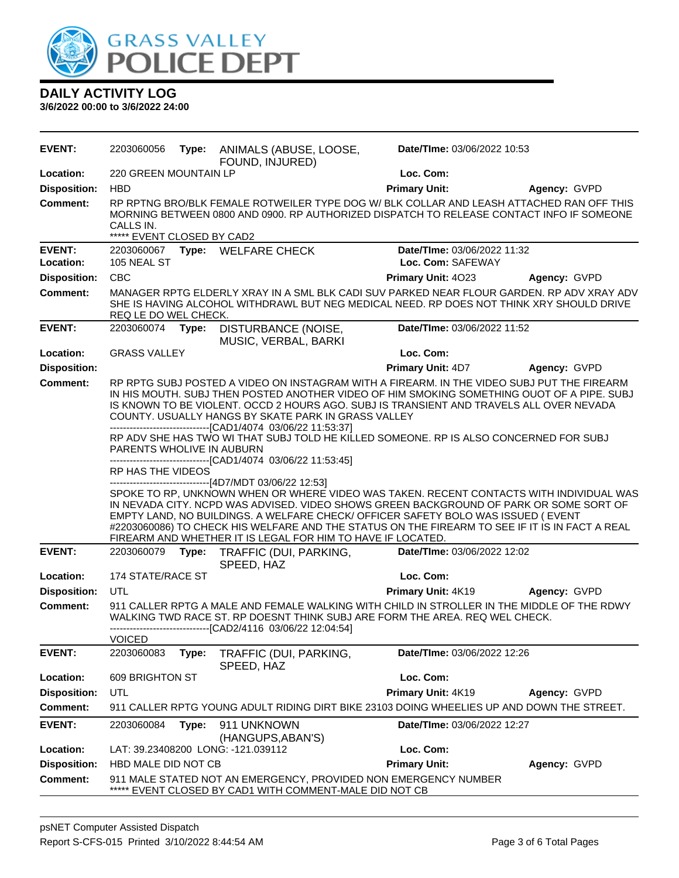

| <b>EVENT:</b>       | 2203060056                                                                                                                                                                                                                                                                                                                                                                                                                                                                                                                                                                                                                                                                                                                                                                 |       | Type: ANIMALS (ABUSE, LOOSE,<br>FOUND, INJURED)              | Date/TIme: 03/06/2022 10:53                                                                                                                                                                                                                                                   |              |  |
|---------------------|----------------------------------------------------------------------------------------------------------------------------------------------------------------------------------------------------------------------------------------------------------------------------------------------------------------------------------------------------------------------------------------------------------------------------------------------------------------------------------------------------------------------------------------------------------------------------------------------------------------------------------------------------------------------------------------------------------------------------------------------------------------------------|-------|--------------------------------------------------------------|-------------------------------------------------------------------------------------------------------------------------------------------------------------------------------------------------------------------------------------------------------------------------------|--------------|--|
| Location:           | 220 GREEN MOUNTAIN LP                                                                                                                                                                                                                                                                                                                                                                                                                                                                                                                                                                                                                                                                                                                                                      |       |                                                              | Loc. Com:                                                                                                                                                                                                                                                                     |              |  |
| <b>Disposition:</b> | <b>HBD</b>                                                                                                                                                                                                                                                                                                                                                                                                                                                                                                                                                                                                                                                                                                                                                                 |       |                                                              | <b>Primary Unit:</b>                                                                                                                                                                                                                                                          | Agency: GVPD |  |
| <b>Comment:</b>     | RP RPTNG BRO/BLK FEMALE ROTWEILER TYPE DOG W/ BLK COLLAR AND LEASH ATTACHED RAN OFF THIS<br>MORNING BETWEEN 0800 AND 0900. RP AUTHORIZED DISPATCH TO RELEASE CONTACT INFO IF SOMEONE<br>CALLS IN.<br>***** EVENT CLOSED BY CAD2                                                                                                                                                                                                                                                                                                                                                                                                                                                                                                                                            |       |                                                              |                                                                                                                                                                                                                                                                               |              |  |
| <b>EVENT:</b>       |                                                                                                                                                                                                                                                                                                                                                                                                                                                                                                                                                                                                                                                                                                                                                                            |       | 2203060067 Type: WELFARE CHECK                               | Date/TIme: 03/06/2022 11:32                                                                                                                                                                                                                                                   |              |  |
| Location:           | 105 NEAL ST                                                                                                                                                                                                                                                                                                                                                                                                                                                                                                                                                                                                                                                                                                                                                                |       |                                                              | Loc. Com: SAFEWAY                                                                                                                                                                                                                                                             |              |  |
| <b>Disposition:</b> | CBC                                                                                                                                                                                                                                                                                                                                                                                                                                                                                                                                                                                                                                                                                                                                                                        |       |                                                              | Primary Unit: 4023                                                                                                                                                                                                                                                            | Agency: GVPD |  |
| <b>Comment:</b>     | REQ LE DO WEL CHECK.                                                                                                                                                                                                                                                                                                                                                                                                                                                                                                                                                                                                                                                                                                                                                       |       |                                                              | MANAGER RPTG ELDERLY XRAY IN A SML BLK CADI SUV PARKED NEAR FLOUR GARDEN. RP ADV XRAY ADV<br>SHE IS HAVING ALCOHOL WITHDRAWL BUT NEG MEDICAL NEED. RP DOES NOT THINK XRY SHOULD DRIVE                                                                                         |              |  |
| <b>EVENT:</b>       | 2203060074                                                                                                                                                                                                                                                                                                                                                                                                                                                                                                                                                                                                                                                                                                                                                                 | Type: | DISTURBANCE (NOISE,<br>MUSIC, VERBAL, BARKI                  | Date/TIme: 03/06/2022 11:52                                                                                                                                                                                                                                                   |              |  |
| Location:           | <b>GRASS VALLEY</b>                                                                                                                                                                                                                                                                                                                                                                                                                                                                                                                                                                                                                                                                                                                                                        |       |                                                              | Loc. Com:                                                                                                                                                                                                                                                                     |              |  |
| <b>Disposition:</b> |                                                                                                                                                                                                                                                                                                                                                                                                                                                                                                                                                                                                                                                                                                                                                                            |       |                                                              | <b>Primary Unit: 4D7</b>                                                                                                                                                                                                                                                      | Agency: GVPD |  |
| <b>Comment:</b>     | RP RPTG SUBJ POSTED A VIDEO ON INSTAGRAM WITH A FIREARM. IN THE VIDEO SUBJ PUT THE FIREARM<br>IN HIS MOUTH. SUBJ THEN POSTED ANOTHER VIDEO OF HIM SMOKING SOMETHING OUOT OF A PIPE. SUBJ<br>IS KNOWN TO BE VIOLENT. OCCD 2 HOURS AGO. SUBJ IS TRANSIENT AND TRAVELS ALL OVER NEVADA<br>COUNTY. USUALLY HANGS BY SKATE PARK IN GRASS VALLEY<br>-------------------------------[CAD1/4074 03/06/22 11:53:37]<br>RP ADV SHE HAS TWO WI THAT SUBJ TOLD HE KILLED SOMEONE. RP IS ALSO CONCERNED FOR SUBJ<br>PARENTS WHOLIVE IN AUBURN<br>-------------------------------[CAD1/4074 03/06/22 11:53:45]<br>RP HAS THE VIDEOS<br>------------------------------[4D7/MDT 03/06/22 12:53]<br>SPOKE TO RP, UNKNOWN WHEN OR WHERE VIDEO WAS TAKEN. RECENT CONTACTS WITH INDIVIDUAL WAS |       |                                                              |                                                                                                                                                                                                                                                                               |              |  |
|                     |                                                                                                                                                                                                                                                                                                                                                                                                                                                                                                                                                                                                                                                                                                                                                                            |       | FIREARM AND WHETHER IT IS LEGAL FOR HIM TO HAVE IF LOCATED.  | IN NEVADA CITY. NCPD WAS ADVISED. VIDEO SHOWS GREEN BACKGROUND OF PARK OR SOME SORT OF<br>EMPTY LAND, NO BUILDINGS. A WELFARE CHECK/ OFFICER SAFETY BOLO WAS ISSUED ( EVENT<br>#2203060086) TO CHECK HIS WELFARE AND THE STATUS ON THE FIREARM TO SEE IF IT IS IN FACT A REAL |              |  |
| <b>EVENT:</b>       | 2203060079                                                                                                                                                                                                                                                                                                                                                                                                                                                                                                                                                                                                                                                                                                                                                                 | Type: | TRAFFIC (DUI, PARKING,<br>SPEED, HAZ                         | Date/TIme: 03/06/2022 12:02                                                                                                                                                                                                                                                   |              |  |
| Location:           | 174 STATE/RACE ST                                                                                                                                                                                                                                                                                                                                                                                                                                                                                                                                                                                                                                                                                                                                                          |       |                                                              | Loc. Com:                                                                                                                                                                                                                                                                     |              |  |
| <b>Disposition:</b> | UTL                                                                                                                                                                                                                                                                                                                                                                                                                                                                                                                                                                                                                                                                                                                                                                        |       |                                                              | <b>Primary Unit: 4K19</b>                                                                                                                                                                                                                                                     | Agency: GVPD |  |
| <b>Comment:</b>     | <b>VOICED</b>                                                                                                                                                                                                                                                                                                                                                                                                                                                                                                                                                                                                                                                                                                                                                              |       | -------------------------------[CAD2/4116 03/06/22 12:04:54] | 911 CALLER RPTG A MALE AND FEMALE WALKING WITH CHILD IN STROLLER IN THE MIDDLE OF THE RDWY<br>WALKING TWD RACE ST. RP DOESNT THINK SUBJ ARE FORM THE AREA. REQ WEL CHECK.                                                                                                     |              |  |
| <b>EVENT:</b>       | 2203060083                                                                                                                                                                                                                                                                                                                                                                                                                                                                                                                                                                                                                                                                                                                                                                 | Type: | TRAFFIC (DUI, PARKING,<br>SPEED, HAZ                         | Date/TIme: 03/06/2022 12:26                                                                                                                                                                                                                                                   |              |  |
| Location:           | 609 BRIGHTON ST                                                                                                                                                                                                                                                                                                                                                                                                                                                                                                                                                                                                                                                                                                                                                            |       |                                                              | Loc. Com:                                                                                                                                                                                                                                                                     |              |  |
| <b>Disposition:</b> | UTL                                                                                                                                                                                                                                                                                                                                                                                                                                                                                                                                                                                                                                                                                                                                                                        |       |                                                              | Primary Unit: 4K19                                                                                                                                                                                                                                                            | Agency: GVPD |  |
| <b>Comment:</b>     |                                                                                                                                                                                                                                                                                                                                                                                                                                                                                                                                                                                                                                                                                                                                                                            |       |                                                              | 911 CALLER RPTG YOUNG ADULT RIDING DIRT BIKE 23103 DOING WHEELIES UP AND DOWN THE STREET.                                                                                                                                                                                     |              |  |
| <b>EVENT:</b>       | 2203060084                                                                                                                                                                                                                                                                                                                                                                                                                                                                                                                                                                                                                                                                                                                                                                 | Type: | 911 UNKNOWN<br>(HANGUPS, ABAN'S)                             | Date/TIme: 03/06/2022 12:27                                                                                                                                                                                                                                                   |              |  |
| Location:           |                                                                                                                                                                                                                                                                                                                                                                                                                                                                                                                                                                                                                                                                                                                                                                            |       | LAT: 39.23408200 LONG: -121.039112                           | Loc. Com:                                                                                                                                                                                                                                                                     |              |  |
| <b>Disposition:</b> | HBD MALE DID NOT CB                                                                                                                                                                                                                                                                                                                                                                                                                                                                                                                                                                                                                                                                                                                                                        |       |                                                              | <b>Primary Unit:</b>                                                                                                                                                                                                                                                          | Agency: GVPD |  |
| <b>Comment:</b>     |                                                                                                                                                                                                                                                                                                                                                                                                                                                                                                                                                                                                                                                                                                                                                                            |       | EVENT CLOSED BY CAD1 WITH COMMENT-MALE DID NOT CB            | 911 MALE STATED NOT AN EMERGENCY, PROVIDED NON EMERGENCY NUMBER                                                                                                                                                                                                               |              |  |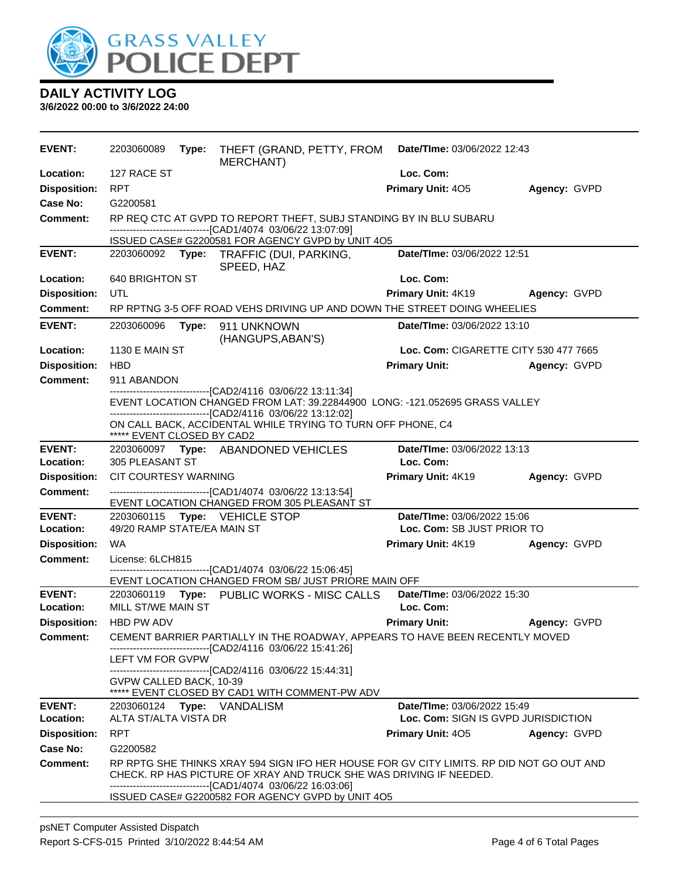

| <b>EVENT:</b>       | 2203060089                                                                                                                                                                                                                        | Type: | THEFT (GRAND, PETTY, FROM<br><b>MERCHANT)</b>                                                                                               | Date/TIme: 03/06/2022 12:43           |              |
|---------------------|-----------------------------------------------------------------------------------------------------------------------------------------------------------------------------------------------------------------------------------|-------|---------------------------------------------------------------------------------------------------------------------------------------------|---------------------------------------|--------------|
| Location:           | 127 RACE ST                                                                                                                                                                                                                       |       |                                                                                                                                             | Loc. Com:                             |              |
| <b>Disposition:</b> | <b>RPT</b>                                                                                                                                                                                                                        |       |                                                                                                                                             | <b>Primary Unit: 405</b>              | Agency: GVPD |
| <b>Case No:</b>     | G2200581                                                                                                                                                                                                                          |       |                                                                                                                                             |                                       |              |
| <b>Comment:</b>     |                                                                                                                                                                                                                                   |       | RP REQ CTC AT GVPD TO REPORT THEFT, SUBJ STANDING BY IN BLU SUBARU<br>-------------------------------[CAD1/4074_03/06/22 13:07:09]          |                                       |              |
|                     |                                                                                                                                                                                                                                   |       | ISSUED CASE# G2200581 FOR AGENCY GVPD by UNIT 4O5                                                                                           |                                       |              |
| <b>EVENT:</b>       |                                                                                                                                                                                                                                   |       | 2203060092 Type: TRAFFIC (DUI, PARKING,<br>SPEED, HAZ                                                                                       | Date/TIme: 03/06/2022 12:51           |              |
| Location:           | 640 BRIGHTON ST                                                                                                                                                                                                                   |       |                                                                                                                                             | Loc. Com:                             |              |
| <b>Disposition:</b> | <b>UTL</b>                                                                                                                                                                                                                        |       |                                                                                                                                             | Primary Unit: 4K19                    | Agency: GVPD |
| <b>Comment:</b>     |                                                                                                                                                                                                                                   |       | RP RPTNG 3-5 OFF ROAD VEHS DRIVING UP AND DOWN THE STREET DOING WHEELIES                                                                    |                                       |              |
| <b>EVENT:</b>       | 2203060096                                                                                                                                                                                                                        | Type: | 911 UNKNOWN<br>(HANGUPS, ABAN'S)                                                                                                            | Date/TIme: 03/06/2022 13:10           |              |
| Location:           | 1130 E MAIN ST                                                                                                                                                                                                                    |       |                                                                                                                                             | Loc. Com: CIGARETTE CITY 530 477 7665 |              |
| <b>Disposition:</b> | <b>HBD</b>                                                                                                                                                                                                                        |       |                                                                                                                                             | <b>Primary Unit:</b>                  | Agency: GVPD |
| <b>Comment:</b>     | 911 ABANDON                                                                                                                                                                                                                       |       |                                                                                                                                             |                                       |              |
|                     |                                                                                                                                                                                                                                   |       | -------------------------------[CAD2/4116 03/06/22 13:11:34]<br>EVENT LOCATION CHANGED FROM LAT: 39.22844900 LONG: -121.052695 GRASS VALLEY |                                       |              |
|                     |                                                                                                                                                                                                                                   |       | -------------------------------[CAD2/4116 03/06/22 13:12:02]                                                                                |                                       |              |
|                     | ***** EVENT CLOSED BY CAD2                                                                                                                                                                                                        |       | ON CALL BACK, ACCIDENTAL WHILE TRYING TO TURN OFF PHONE, C4                                                                                 |                                       |              |
| <b>EVENT:</b>       |                                                                                                                                                                                                                                   |       | 2203060097 Type: ABANDONED VEHICLES                                                                                                         | Date/TIme: 03/06/2022 13:13           |              |
| Location:           | 305 PLEASANT ST                                                                                                                                                                                                                   |       |                                                                                                                                             | Loc. Com:                             |              |
| <b>Disposition:</b> | CIT COURTESY WARNING                                                                                                                                                                                                              |       |                                                                                                                                             | Primary Unit: 4K19                    | Agency: GVPD |
| <b>Comment:</b>     |                                                                                                                                                                                                                                   |       | ------------------------------[CAD1/4074 03/06/22 13:13:54]<br>EVENT LOCATION CHANGED FROM 305 PLEASANT ST                                  |                                       |              |
| <b>EVENT:</b>       | Date/TIme: 03/06/2022 15:06<br>2203060115    Type: VEHICLE STOP                                                                                                                                                                   |       |                                                                                                                                             |                                       |              |
| Location:           | 49/20 RAMP STATE/EA MAIN ST                                                                                                                                                                                                       |       |                                                                                                                                             | Loc. Com: SB JUST PRIOR TO            |              |
| <b>Disposition:</b> | <b>WA</b>                                                                                                                                                                                                                         |       |                                                                                                                                             | Primary Unit: 4K19                    | Agency: GVPD |
| <b>Comment:</b>     | License: 6LCH815<br>------------------------------[CAD1/4074 03/06/22 15:06:45]                                                                                                                                                   |       |                                                                                                                                             |                                       |              |
|                     | EVENT LOCATION CHANGED FROM SB/ JUST PRIORE MAIN OFF                                                                                                                                                                              |       |                                                                                                                                             |                                       |              |
| <b>EVENT:</b>       |                                                                                                                                                                                                                                   |       | 2203060119 Type: PUBLIC WORKS - MISC CALLS                                                                                                  | Date/TIme: 03/06/2022 15:30           |              |
| Location:           | MILL ST/WE MAIN ST                                                                                                                                                                                                                |       |                                                                                                                                             | Loc. Com:                             |              |
| <b>Disposition:</b> | HBD PW ADV                                                                                                                                                                                                                        |       |                                                                                                                                             | <b>Primary Unit:</b>                  | Agency: GVPD |
| <b>Comment:</b>     | CEMENT BARRIER PARTIALLY IN THE ROADWAY, APPEARS TO HAVE BEEN RECENTLY MOVED<br>-------------------------------[CAD2/4116_03/06/22 15:41:26]                                                                                      |       |                                                                                                                                             |                                       |              |
|                     | LEFT VM FOR GVPW                                                                                                                                                                                                                  |       |                                                                                                                                             |                                       |              |
|                     | GVPW CALLED BACK, 10-39                                                                                                                                                                                                           |       | -------------------------------[CAD2/4116 03/06/22 15:44:31]<br>***** EVENT CLOSED BY CAD1 WITH COMMENT-PW ADV                              |                                       |              |
| <b>EVENT:</b>       |                                                                                                                                                                                                                                   |       | 2203060124 Type: VANDALISM                                                                                                                  | Date/TIme: 03/06/2022 15:49           |              |
| Location:           | ALTA ST/ALTA VISTA DR                                                                                                                                                                                                             |       |                                                                                                                                             | Loc. Com: SIGN IS GVPD JURISDICTION   |              |
| <b>Disposition:</b> | <b>RPT</b>                                                                                                                                                                                                                        |       |                                                                                                                                             | <b>Primary Unit: 405</b>              | Agency: GVPD |
| Case No:            | G2200582                                                                                                                                                                                                                          |       |                                                                                                                                             |                                       |              |
| <b>Comment:</b>     | RP RPTG SHE THINKS XRAY 594 SIGN IFO HER HOUSE FOR GV CITY LIMITS. RP DID NOT GO OUT AND<br>CHECK. RP HAS PICTURE OF XRAY AND TRUCK SHE WAS DRIVING IF NEEDED.<br>----------------------------------[CAD1/4074_03/06/22_16:03:06] |       |                                                                                                                                             |                                       |              |
|                     |                                                                                                                                                                                                                                   |       | ISSUED CASE# G2200582 FOR AGENCY GVPD by UNIT 4O5                                                                                           |                                       |              |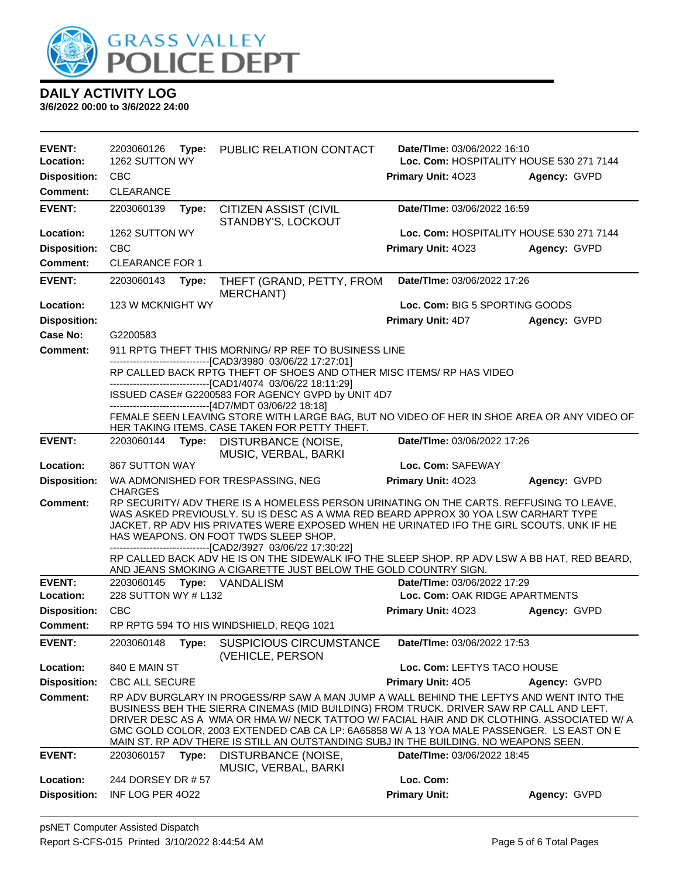

| <b>EVENT:</b>       | 2203060126<br>Type:    | PUBLIC RELATION CONTACT                                                                                                                                                                                                                                                                                                                                                                                                                                               | Date/TIme: 03/06/2022 16:10              |              |  |
|---------------------|------------------------|-----------------------------------------------------------------------------------------------------------------------------------------------------------------------------------------------------------------------------------------------------------------------------------------------------------------------------------------------------------------------------------------------------------------------------------------------------------------------|------------------------------------------|--------------|--|
| Location:           | 1262 SUTTON WY         |                                                                                                                                                                                                                                                                                                                                                                                                                                                                       | Loc. Com: HOSPITALITY HOUSE 530 271 7144 |              |  |
| <b>Disposition:</b> | <b>CBC</b>             |                                                                                                                                                                                                                                                                                                                                                                                                                                                                       | Primary Unit: 4023                       | Agency: GVPD |  |
| <b>Comment:</b>     | <b>CLEARANCE</b>       |                                                                                                                                                                                                                                                                                                                                                                                                                                                                       |                                          |              |  |
| <b>EVENT:</b>       | 2203060139<br>Type:    | <b>CITIZEN ASSIST (CIVIL</b><br>STANDBY'S, LOCKOUT                                                                                                                                                                                                                                                                                                                                                                                                                    | Date/TIme: 03/06/2022 16:59              |              |  |
| Location:           | 1262 SUTTON WY         |                                                                                                                                                                                                                                                                                                                                                                                                                                                                       | Loc. Com: HOSPITALITY HOUSE 530 271 7144 |              |  |
| <b>Disposition:</b> | <b>CBC</b>             |                                                                                                                                                                                                                                                                                                                                                                                                                                                                       | Primary Unit: 4023                       | Agency: GVPD |  |
| <b>Comment:</b>     | <b>CLEARANCE FOR 1</b> |                                                                                                                                                                                                                                                                                                                                                                                                                                                                       |                                          |              |  |
| <b>EVENT:</b>       | 2203060143<br>Type:    | THEFT (GRAND, PETTY, FROM                                                                                                                                                                                                                                                                                                                                                                                                                                             | Date/TIme: 03/06/2022 17:26              |              |  |
| Location:           | 123 W MCKNIGHT WY      | <b>MERCHANT)</b>                                                                                                                                                                                                                                                                                                                                                                                                                                                      | Loc. Com: BIG 5 SPORTING GOODS           |              |  |
| <b>Disposition:</b> |                        |                                                                                                                                                                                                                                                                                                                                                                                                                                                                       | <b>Primary Unit: 4D7</b>                 | Agency: GVPD |  |
| Case No:            | G2200583               |                                                                                                                                                                                                                                                                                                                                                                                                                                                                       |                                          |              |  |
| Comment:            |                        | 911 RPTG THEFT THIS MORNING/ RP REF TO BUSINESS LINE                                                                                                                                                                                                                                                                                                                                                                                                                  |                                          |              |  |
|                     |                        | -------------------------------[CAD3/3980 03/06/22 17:27:01]                                                                                                                                                                                                                                                                                                                                                                                                          |                                          |              |  |
|                     |                        | RP CALLED BACK RPTG THEFT OF SHOES AND OTHER MISC ITEMS/ RP HAS VIDEO                                                                                                                                                                                                                                                                                                                                                                                                 |                                          |              |  |
|                     |                        | ------------------------------[CAD1/4074 03/06/22 18:11:29]<br>ISSUED CASE# G2200583 FOR AGENCY GVPD by UNIT 4D7<br>------------------------------[4D7/MDT 03/06/22 18:18]                                                                                                                                                                                                                                                                                            |                                          |              |  |
|                     |                        | FEMALE SEEN LEAVING STORE WITH LARGE BAG, BUT NO VIDEO OF HER IN SHOE AREA OR ANY VIDEO OF                                                                                                                                                                                                                                                                                                                                                                            |                                          |              |  |
|                     |                        | HER TAKING ITEMS. CASE TAKEN FOR PETTY THEFT.                                                                                                                                                                                                                                                                                                                                                                                                                         |                                          |              |  |
| <b>EVENT:</b>       | 2203060144 Type:       | DISTURBANCE (NOISE,<br>MUSIC, VERBAL, BARKI                                                                                                                                                                                                                                                                                                                                                                                                                           | Date/TIme: 03/06/2022 17:26              |              |  |
| Location:           | <b>867 SUTTON WAY</b>  |                                                                                                                                                                                                                                                                                                                                                                                                                                                                       | Loc. Com: SAFEWAY                        |              |  |
| <b>Disposition:</b> |                        | WA ADMONISHED FOR TRESPASSING, NEG                                                                                                                                                                                                                                                                                                                                                                                                                                    | Primary Unit: 4023                       | Agency: GVPD |  |
|                     | <b>CHARGES</b>         |                                                                                                                                                                                                                                                                                                                                                                                                                                                                       |                                          |              |  |
| Comment:            |                        | RP SECURITY/ ADV THERE IS A HOMELESS PERSON URINATING ON THE CARTS. REFFUSING TO LEAVE,<br>WAS ASKED PREVIOUSLY. SU IS DESC AS A WMA RED BEARD APPROX 30 YOA LSW CARHART TYPE                                                                                                                                                                                                                                                                                         |                                          |              |  |
|                     |                        | JACKET. RP ADV HIS PRIVATES WERE EXPOSED WHEN HE URINATED IFO THE GIRL SCOUTS. UNK IF HE<br>HAS WEAPONS. ON FOOT TWDS SLEEP SHOP.<br>-------------------------------[CAD2/3927 03/06/22 17:30:22]                                                                                                                                                                                                                                                                     |                                          |              |  |
|                     |                        | RP CALLED BACK ADV HE IS ON THE SIDEWALK IFO THE SLEEP SHOP. RP ADV LSW A BB HAT, RED BEARD,<br>AND JEANS SMOKING A CIGARETTE JUST BELOW THE GOLD COUNTRY SIGN.                                                                                                                                                                                                                                                                                                       |                                          |              |  |
| <b>EVENT:</b>       | 2203060145             | Type: VANDALISM                                                                                                                                                                                                                                                                                                                                                                                                                                                       | <b>Date/TIme: 03/06/2022 17:29</b>       |              |  |
| Location:           | 228 SUTTON WY # L132   |                                                                                                                                                                                                                                                                                                                                                                                                                                                                       | Loc. Com: OAK RIDGE APARTMENTS           |              |  |
| <b>Disposition:</b> | CBC                    |                                                                                                                                                                                                                                                                                                                                                                                                                                                                       | Primary Unit: 4023                       | Agency: GVPD |  |
| Comment:            |                        | RP RPTG 594 TO HIS WINDSHIELD, REQG 1021                                                                                                                                                                                                                                                                                                                                                                                                                              |                                          |              |  |
| <b>EVENT:</b>       | 2203060148<br>Type:    | <b>SUSPICIOUS CIRCUMSTANCE</b><br>(VEHICLE, PERSON                                                                                                                                                                                                                                                                                                                                                                                                                    | Date/TIme: 03/06/2022 17:53              |              |  |
| Location:           | 840 E MAIN ST          |                                                                                                                                                                                                                                                                                                                                                                                                                                                                       | Loc. Com: LEFTYS TACO HOUSE              |              |  |
| <b>Disposition:</b> | <b>CBC ALL SECURE</b>  |                                                                                                                                                                                                                                                                                                                                                                                                                                                                       | Primary Unit: 405                        | Agency: GVPD |  |
| <b>Comment:</b>     |                        | RP ADV BURGLARY IN PROGESS/RP SAW A MAN JUMP A WALL BEHIND THE LEFTYS AND WENT INTO THE<br>BUSINESS BEH THE SIERRA CINEMAS (MID BUILDING) FROM TRUCK. DRIVER SAW RP CALL AND LEFT.<br>DRIVER DESC AS A WMA OR HMA W/ NECK TATTOO W/ FACIAL HAIR AND DK CLOTHING. ASSOCIATED W/ A<br>GMC GOLD COLOR, 2003 EXTENDED CAB CA LP: 6A65858 W/ A 13 YOA MALE PASSENGER. LS EAST ON E<br>MAIN ST. RP ADV THERE IS STILL AN OUTSTANDING SUBJ IN THE BUILDING. NO WEAPONS SEEN. |                                          |              |  |
| <b>EVENT:</b>       | 2203060157<br>Type:    | DISTURBANCE (NOISE,                                                                                                                                                                                                                                                                                                                                                                                                                                                   | Date/TIme: 03/06/2022 18:45              |              |  |
| Location:           | 244 DORSEY DR # 57     | MUSIC, VERBAL, BARKI                                                                                                                                                                                                                                                                                                                                                                                                                                                  | Loc. Com:                                |              |  |